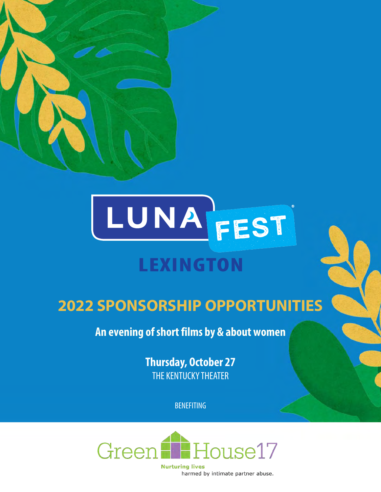



## **2022 SPONSORSHIP OPPORTUNITIES**

**An evening of short films by & about women**

**Thursday, October 27** THE KENTUCKY THEATER

BENEFITING



**Nurturing lives** harmed by intimate partner abuse.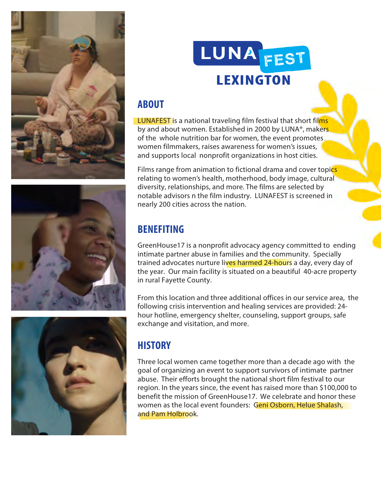



## **ABOUT**

LUNAFEST is a national traveling film festival that short films by and about women. Established in 2000 by LUNA®, makers of the whole nutrition bar for women, the event promotes women filmmakers, raises awareness for women's issues, and supports local nonprofit organizations in host cities.

Films range from animation to fictional drama and cover topics relating to women's health, motherhood, body image, cultural diversity, relationships, and more. The films are selected by notable advisors n the film industry. LUNAFEST is screened in nearly 200 cities across the nation.

## **BENEFITING**

GreenHouse17 is a nonprofit advocacy agency committed to ending intimate partner abuse in families and the community. Specially trained advocates nurture lives harmed 24-hours a day, every day of the year. Our main facility is situated on a beautiful 40-acre property in rural Fayette County.

From this location and three additional offices in our service area, the following crisis intervention and healing services are provided: 24 hour hotline, emergency shelter, counseling, support groups, safe exchange and visitation, and more.

## **HISTORY**

Three local women came together more than a decade ago with the goal of organizing an event to support survivors of intimate partner abuse. Their efforts brought the national short film festival to our region. In the years since, the event has raised more than \$100,000 to benefit the mission of GreenHouse17. We celebrate and honor these women as the local event founders: Geni Osborn, Helue Shalash, and Pam Holbrook.



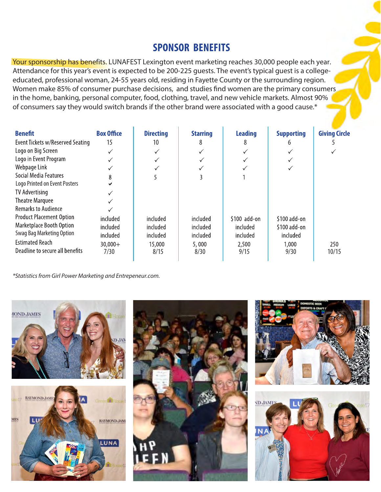## **SPONSOR BENEFITS**

Your sponsorship has benefits. LUNAFEST Lexington event marketing reaches 30,000 people each year. Attendance for this year's event is expected to be 200-225 guests. The event's typical guest is a collegeeducated, professional woman, 24-55 years old, residing in Fayette County or the surrounding region. Women make 85% of consumer purchase decisions, and studies find women are the primary consumers in the home, banking, personal computer, food, clothing, travel, and new vehicle markets. Almost 90% of consumers say they would switch brands if the other brand were associated with a good cause.\*

| <b>Benefit</b>                   | <b>Box Office</b> | <b>Directing</b> | <b>Starring</b> | <b>Leading</b> | <b>Supporting</b> | <b>Giving Circle</b> |
|----------------------------------|-------------------|------------------|-----------------|----------------|-------------------|----------------------|
| Event Tickets w/Reserved Seating | 15                | 10               | 8               | 8              | h                 |                      |
| Logo on Big Screen               |                   | $\checkmark$     |                 | $\checkmark$   |                   |                      |
| Logo in Event Program            |                   |                  |                 |                |                   |                      |
| Webpage Link                     |                   |                  |                 |                |                   |                      |
| Social Media Features            | 8                 |                  |                 |                |                   |                      |
| Logo Printed on Event Posters    |                   |                  |                 |                |                   |                      |
| TV Advertising                   |                   |                  |                 |                |                   |                      |
| <b>Theatre Marquee</b>           |                   |                  |                 |                |                   |                      |
| <b>Remarks to Audience</b>       |                   |                  |                 |                |                   |                      |
| <b>Product Placement Option</b>  | included          | included         | included        | \$100 add-on   | \$100 add-on      |                      |
| Marketplace Booth Option         | included          | included         | included        | included       | \$100 add-on      |                      |
| Swag Bag Marketing Option        | included          | included         | included        | included       | included          |                      |
| <b>Estimated Reach</b>           | $30,000+$         | 15,000           | 5,000           | 2,500          | 1,000             | 250                  |
| Deadline to secure all benefits  | 7/30              | 8/15             | 8/30            | 9/15           | 9/30              | 10/15                |

\*Statistics from Girl Power Marketing and Entrepeneur.com.

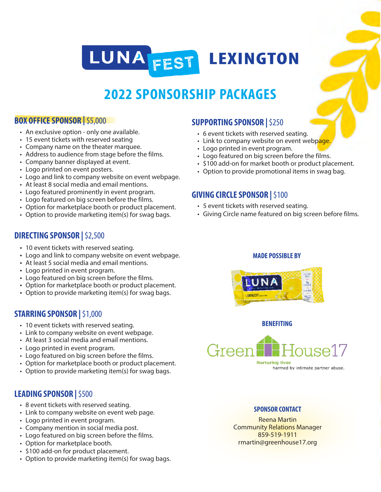## LUNA FEST **LEXINGTON**

## **2022 SPONSORSHIP PACKAGES**

#### **BOX OFFICE SPONSOR |**\$5,000

- An exclusive option only one available.
- 15 event tickets with reserved seating
- Company name on the theater marquee.
- Address to audience from stage before the films.
- Company banner displayed at event.
- Logo printed on event posters.
- Logo and link to company website on event webpage.
- At least 8 social media and email mentions.
- Logo featured prominently in event program.
- Logo featured on big screen before the films.
- Option for marketplace booth or product placement.
- Option to provide marketing item(s) for swag bags.

#### **DIRECTING SPONSOR |** \$2,500

- 10 event tickets with reserved seating.
- Logo and link to company website on event webpage.
- At least 5 social media and email mentions.
- Logo printed in event program.
- Logo featured on big screen before the films.
- Option for marketplace booth or product placement.
- Option to provide marketing item(s) for swag bags.

#### **STARRING SPONSOR |** \$1,000

- 10 event tickets with reserved seating.
- Link to company website on event webpage.
- At least 3 social media and email mentions.
- Logo printed in event program.
- Logo featured on big screen before the films.
- Option for marketplace booth or product placement.
- Option to provide marketing item(s) for swag bags.

#### **LEADING SPONSOR |** \$500

- 8 event tickets with reserved seating.
- Link to company website on event web page.
- Logo printed in event program.
- Company mention in social media post.
- Logo featured on big screen before the films.
- Option for marketplace booth.
- \$100 add-on for product placement.
- Option to provide marketing item(s) for swag bags.

#### **SUPPORTING SPONSOR |** \$250

- 6 event tickets with reserved seating.
- Link to company website on event webpage.
- Logo printed in event program.
- Logo featured on big screen before the films.
- \$100 add-on for market booth or product placement.
- Option to provide promotional items in swag bag.

#### **GIVING CIRCLE SPONSOR |** \$100

- 5 event tickets with reserved seating.
- Giving Circle name featured on big screen before films.

#### **MADE POSSIBLE BY**



#### **BENEFITING**



#### **SPONSOR CONTACT**

Reena Martin Community Relations Manager 859-519-1911 rmartin@greenhouse17.org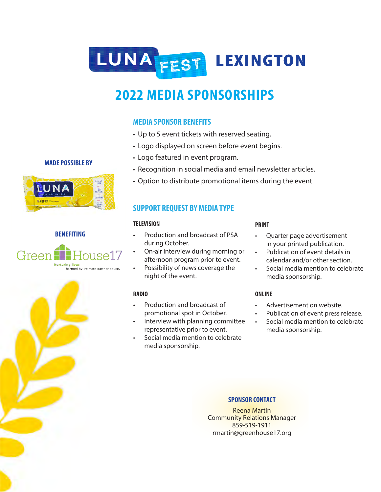## LUNA FEST LEXINGTON

## **2022 MEDIA SPONSORSHIPS**

#### **MEDIA SPONSOR BENEFITS**

- Up to 5 event tickets with reserved seating.
- Logo displayed on screen before event begins.
- Logo featured in event program.
- Recognition in social media and email newsletter articles.
- Option to distribute promotional items during the event.

#### **SUPPORT REQUEST BY MEDIA TYPE**

#### **TELEVISION**

- Production and broadcast of PSA during October.
- On-air interview during morning or afternoon program prior to event.
- Possibility of news coverage the night of the event.

#### **RADIO**

- Production and broadcast of promotional spot in October.
- Interview with planning committee representative prior to event.
- Social media mention to celebrate media sponsorship.

#### **PRINT**

- Quarter page advertisement in your printed publication.
- Publication of event details in calendar and/or other section.
- Social media mention to celebrate media sponsorship.

#### **ONLINE**

- Advertisement on website.
- Publication of event press release.
- Social media mention to celebrate media sponsorship.

#### **SPONSOR CONTACT**

Reena Martin Community Relations Manager 859-519-1911 rmartin@greenhouse17.org

### **MADE POSSIBLE BY**



#### **BENEFITING**